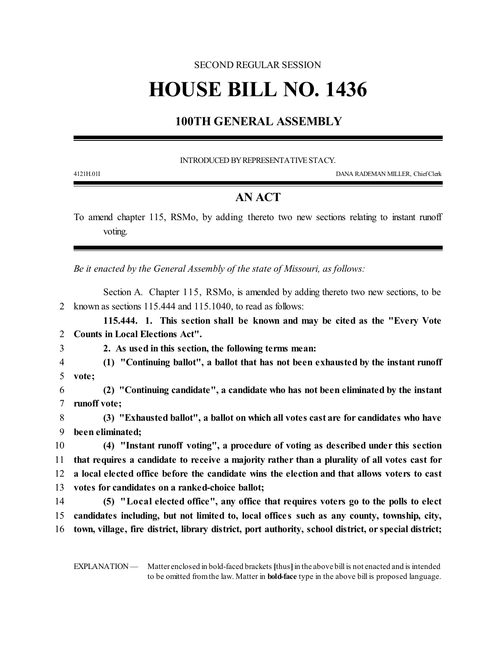## SECOND REGULAR SESSION

## **HOUSE BILL NO. 1436**

## **100TH GENERAL ASSEMBLY**

INTRODUCED BY REPRESENTATIVE STACY.

4121H.01I DANA RADEMAN MILLER, ChiefClerk

## **AN ACT**

To amend chapter 115, RSMo, by adding thereto two new sections relating to instant runoff voting.

*Be it enacted by the General Assembly of the state of Missouri, as follows:*

Section A. Chapter 115, RSMo, is amended by adding thereto two new sections, to be 2 known as sections 115.444 and 115.1040, to read as follows:

**115.444. 1. This section shall be known and may be cited as the "Every Vote** 2 **Counts in Local Elections Act".**

- 
- 3 **2. As used in this section, the following terms mean:**
- 4 **(1) "Continuing ballot", a ballot that has not been exhausted by the instant runoff** 5 **vote;**
- 6 **(2) "Continuing candidate", a candidate who has not been eliminated by the instant** 7 **runoff vote;**

8 **(3) "Exhausted ballot", a ballot on which all votes cast are for candidates who have** 9 **been eliminated;**

 **(4) "Instant runoff voting", a procedure of voting as described under this section that requires a candidate to receive a majority rather than a plurality of all votes cast for a local elected office before the candidate wins the election and that allows voters to cast votes for candidates on a ranked-choice ballot;**

14 **(5) "Local elected office", any office that requires voters go to the polls to elect** 15 **candidates including, but not limited to, local office s such as any county, township, city,** 16 **town, village, fire district, library district, port authority, school district, or special district;**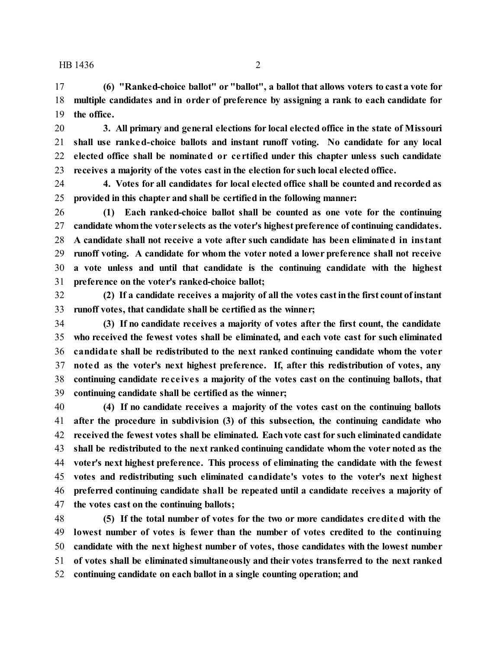HB 1436 2

 **(6) "Ranked-choice ballot" or "ballot", a ballot that allows voters to cast a vote for multiple candidates and in order of preference by assigning a rank to each candidate for the office.**

 **3. All primary and general elections for local elected office in the state of Missouri shall use ranked-choice ballots and instant runoff voting. No candidate for any local elected office shall be nominated or ce rtified under this chapter unless such candidate receives a majority of the votes cast in the election for such local elected office.**

 **4. Votes for all candidates for local elected office shall be counted and recorded as provided in this chapter and shall be certified in the following manner:**

 **(1) Each ranked-choice ballot shall be counted as one vote for the continuing candidate whomthe voter selects as the voter's highest preference of continuing candidates. A candidate shall not receive a vote after such candidate has been eliminated in instant runoff voting. A candidate for whom the voter noted a lower preference shall not receive a vote unless and until that candidate is the continuing candidate with the highest preference on the voter's ranked-choice ballot;**

 **(2) If a candidate receives a majority of all the votes castinthe first count ofinstant runoff votes, that candidate shall be certified as the winner;**

 **(3) If no candidate receives a majority of votes after the first count, the candidate who received the fewest votes shall be eliminated, and each vote cast for such eliminated candidate shall be redistributed to the next ranked continuing candidate whom the voter noted as the voter's next highest preference. If, after this redistribution of votes, any continuing candidate re ce ive s a majority of the votes cast on the continuing ballots, that continuing candidate shall be certified as the winner;**

 **(4) If no candidate receives a majority of the votes cast on the continuing ballots after the procedure in subdivision (3) of this subsection, the continuing candidate who received the fewest votes shall be eliminated. Eachvote cast for such eliminated candidate shall be redistributed to the next ranked continuing candidate whom the voter noted as the voter's next highest preference. This process of eliminating the candidate with the fewest votes and redistributing such eliminated candidate's votes to the voter's next highest preferred continuing candidate shall be repeated until a candidate receives a majority of the votes cast on the continuing ballots;**

 **(5) If the total number of votes for the two or more candidates credited with the lowest number of votes is fewer than the number of votes credited to the continuing candidate with the next highest number of votes, those candidates with the lowest number of votes shall be eliminated simultaneously and their votes transferred to the next ranked continuing candidate on each ballot in a single counting operation; and**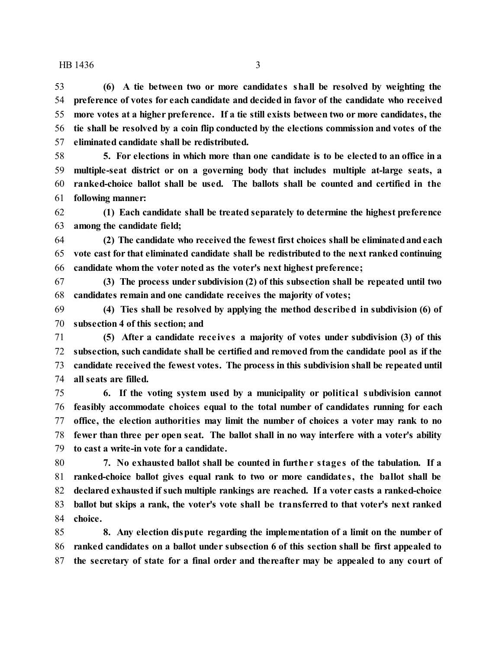HB 1436 3

 **(6) A tie between two or more candidate s shall be resolved by weighting the preference of votes for each candidate and decided in favor of the candidate who received more votes at a higher preference. If a tie still exists between two or more candidates, the tie shall be resolved by a coin flip conducted by the elections commission and votes of the eliminated candidate shall be redistributed.**

 **5. For elections in which more than one candidate is to be elected to an office in a multiple-seat district or on a governing body that includes multiple at-large seats, a ranked-choice ballot shall be used. The ballots shall be counted and certified in the following manner:**

 **(1) Each candidate shall be treated separately to determine the highest preference among the candidate field;**

 **(2) The candidate who received the fewest first choices shall be eliminatedandeach vote cast for that eliminated candidate shall be redistributed to the next ranked continuing candidate whom the voter noted as the voter's next highest preference;**

 **(3) The process under subdivision (2) of this subsection shall be repeated until two candidates remain and one candidate receives the majority of votes;**

 **(4) Ties shall be resolved by applying the method described in subdivision (6) of subsection 4 of this section; and**

 **(5) After a candidate rece ive s a majority of votes under subdivision (3) of this subsection, such candidate shall be certified and removed from the candidate pool as if the candidate received the fewest votes. The process in this subdivision shall be repeated until all seats are filled.**

 **6. If the voting system used by a municipality or political subdivision cannot feasibly accommodate choices equal to the total number of candidates running for each office, the election authorities may limit the number of choices a voter may rank to no fewer than three per open seat. The ballot shall in no way interfere with a voter's ability to cast a write-in vote for a candidate.**

 **7. No exhausted ballot shall be counted in furthe r stage s of the tabulation. If a ranked-choice ballot gives equal rank to two or more candidate s, the ballot shall be declared exhausted if such multiple rankings are reached. If a voter casts a ranked-choice ballot but skips a rank, the voter's vote shall be transferred to that voter's next ranked choice.**

 **8. Any election dispute regarding the implementation of a limit on the number of ranked candidates on a ballot under subsection 6 of this section shall be first appealed to the secretary of state for a final order and thereafter may be appealed to any court of**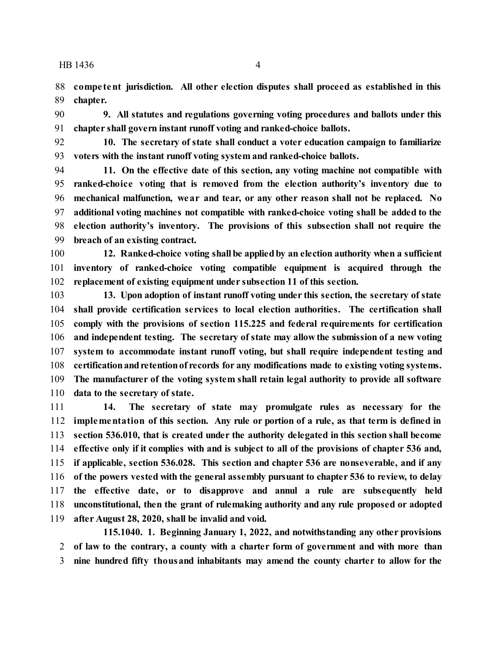HB 1436 4

 **compe tent jurisdiction. All other election disputes shall proceed as established in this chapter.**

 **9. All statutes and regulations governing voting procedures and ballots under this chapter shall govern instant runoff voting and ranked-choice ballots.**

 **10. The secretary of state shall conduct a voter education campaign to familiarize voters with the instant runoff voting system and ranked-choice ballots.**

 **11. On the effective date of this section, any voting machine not compatible with ranked-choice voting that is removed from the election authority's inventory due to mechanical malfunction, wear and tear, or any other reason shall not be replaced. No additional voting machines not compatible with ranked-choice voting shall be added to the election authority's inventory. The provisions of this subsection shall not require the breach of an existing contract.**

 **12. Ranked-choice voting shall be appliedby an election authority when a sufficient inventory of ranked-choice voting compatible equipment is acquired through the replacement of existing equipment under subsection 11 of this section.**

 **13. Upon adoption of instant runoff voting under this section, the secretary of state shall provide certification services to local election authorities. The certification shall comply with the provisions of section 115.225 and federal requirements for certification and independent testing. The secretary of state may allow the submission of a new voting system to accommodate instant runoff voting, but shall require independent testing and** 108 certification and retention of records for any modifications made to existing voting systems. **The manufacturer of the voting system shall retain legal authority to provide all software data to the secretary of state.**

 **14. The secretary of state may promulgate rules as necessary for the implementation of this section. Any rule or portion of a rule, as that term is defined in section 536.010, that is created under the authority delegated in this section shall become effective only if it complies with and is subject to all of the provisions of chapter 536 and, if applicable, section 536.028. This section and chapter 536 are nonseverable, and if any of the powers vested with the general assembly pursuant to chapter 536 to review, to delay the effective date, or to disapprove and annul a rule are subsequently held unconstitutional, then the grant of rulemaking authority and any rule proposed or adopted after August 28, 2020, shall be invalid and void.**

**115.1040. 1. Beginning January 1, 2022, and notwithstanding any other provisions of law to the contrary, a county with a charter form of government and with more than nine hundred fifty thousand inhabitants may amend the county charter to allow for the**